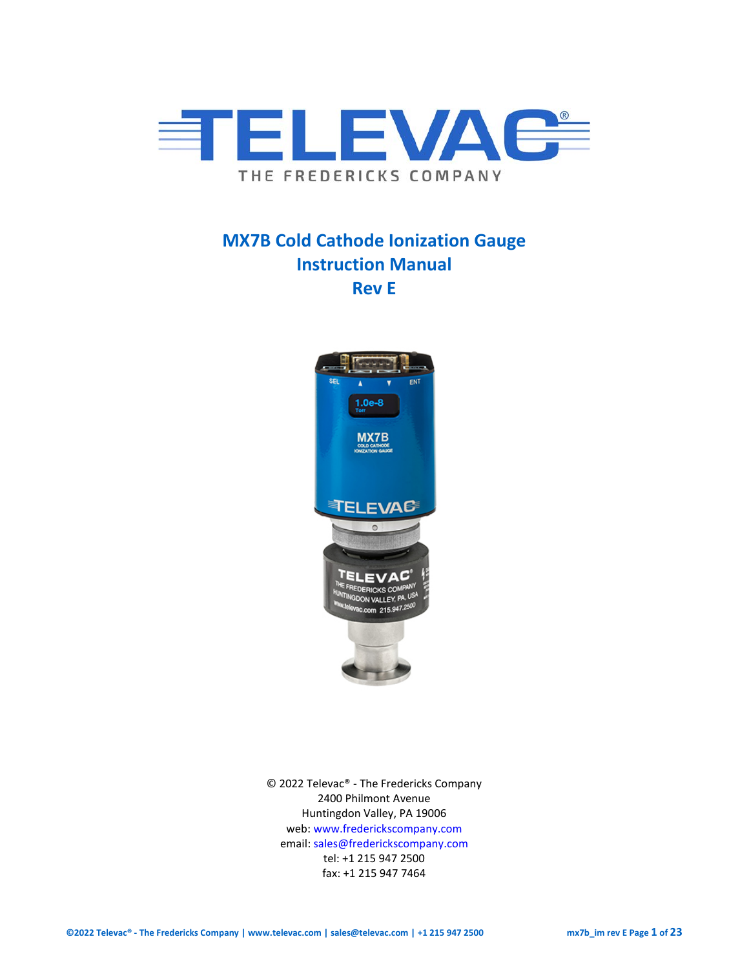

# **MX7B Cold Cathode Ionization Gauge Instruction Manual Rev E**



© 2022 Televac® - The Fredericks Company 2400 Philmont Avenue Huntingdon Valley, PA 19006 web[: www.frederickscompany.com](http://www.frederickscompany.com/) email[: sales@frederickscompany.com](mailto:sales@frederickscompany.com) tel: +1 215 947 2500 fax: +1 215 947 7464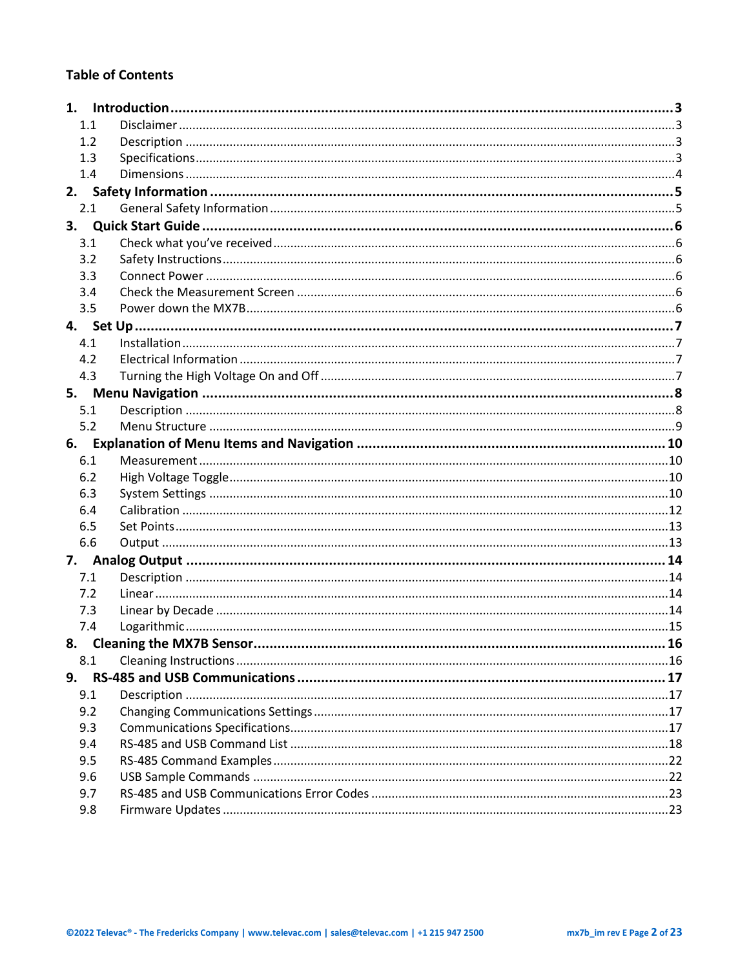## **Table of Contents**

|    | 1.1 |                             |  |
|----|-----|-----------------------------|--|
|    | 1.2 |                             |  |
|    | 1.3 |                             |  |
|    | 1.4 |                             |  |
| 2. |     |                             |  |
|    | 2.1 |                             |  |
| 3. |     |                             |  |
|    | 3.1 |                             |  |
|    | 3.2 |                             |  |
|    | 3.3 |                             |  |
|    | 3.4 |                             |  |
|    | 3.5 |                             |  |
|    |     |                             |  |
|    | 4.1 |                             |  |
|    | 4.2 |                             |  |
|    | 4.3 |                             |  |
|    |     |                             |  |
|    | 5.1 |                             |  |
|    | 5.2 |                             |  |
|    |     |                             |  |
|    | 6.1 |                             |  |
|    | 6.2 |                             |  |
|    | 6.3 |                             |  |
|    | 6.4 |                             |  |
|    | 6.5 |                             |  |
|    | 6.6 |                             |  |
| 7. |     |                             |  |
|    | 7.1 |                             |  |
|    | 7.2 |                             |  |
|    | 7.3 |                             |  |
|    | 7.4 |                             |  |
|    |     | 8. Cleaning the MX7B Sensor |  |
|    | 8.1 |                             |  |
| 9. |     |                             |  |
|    | 9.1 |                             |  |
|    | 9.2 |                             |  |
|    | 9.3 |                             |  |
|    | 9.4 |                             |  |
|    | 9.5 |                             |  |
|    | 9.6 |                             |  |
|    | 9.7 |                             |  |
|    | 9.8 |                             |  |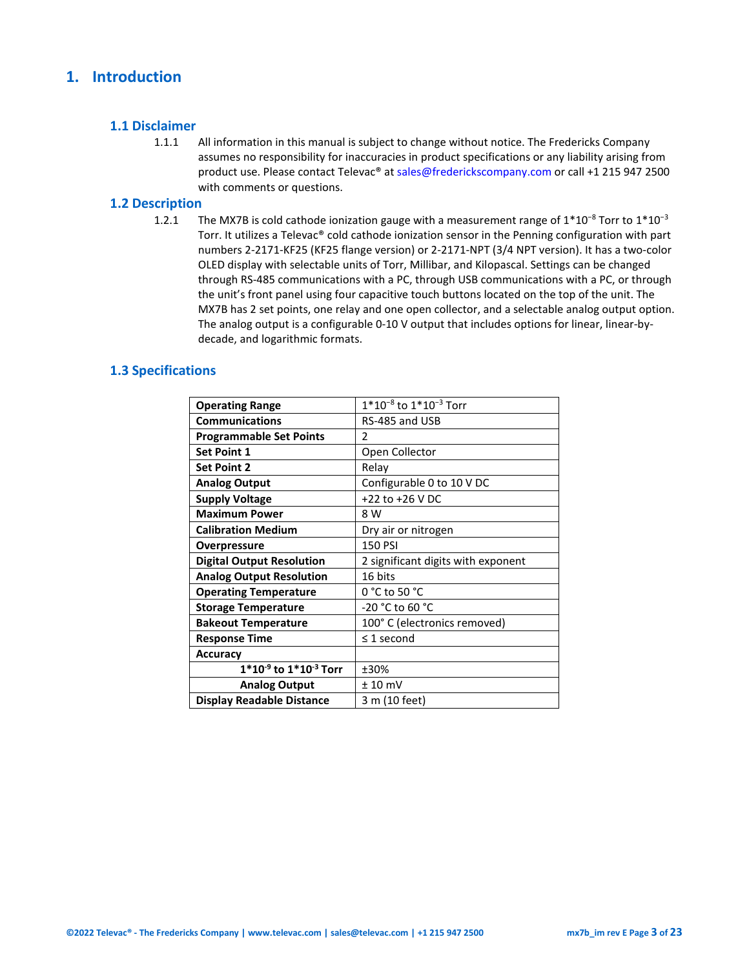## <span id="page-2-0"></span>**1. Introduction**

#### <span id="page-2-1"></span>**1.1 Disclaimer**

1.1.1 All information in this manual is subject to change without notice. The Fredericks Company assumes no responsibility for inaccuracies in product specifications or any liability arising from product use. Please contact Televac® at sales@frederickscompany.com or call +1 215 947 2500 with comments or questions.

#### <span id="page-2-2"></span>**1.2 Description**

1.2.1 The MX7B is cold cathode ionization gauge with a measurement range of  $1*10^{-8}$  Torr to  $1*10^{-3}$ Torr. It utilizes a Televac® cold cathode ionization sensor in the Penning configuration with part numbers 2-2171-KF25 (KF25 flange version) or 2-2171-NPT (3/4 NPT version). It has a two-color OLED display with selectable units of Torr, Millibar, and Kilopascal. Settings can be changed through RS-485 communications with a PC, through USB communications with a PC, or through the unit's front panel using four capacitive touch buttons located on the top of the unit. The MX7B has 2 set points, one relay and one open collector, and a selectable analog output option. The analog output is a configurable 0-10 V output that includes options for linear, linear-bydecade, and logarithmic formats.

#### <span id="page-2-3"></span>**1.3 Specifications**

| <b>Operating Range</b>           | $1*10^{-8}$ to $1*10^{-3}$ Torr    |
|----------------------------------|------------------------------------|
| <b>Communications</b>            | RS-485 and USB                     |
| <b>Programmable Set Points</b>   | $\mathcal{P}$                      |
| <b>Set Point 1</b>               | Open Collector                     |
| <b>Set Point 2</b>               | Relay                              |
| <b>Analog Output</b>             | Configurable 0 to 10 V DC          |
| <b>Supply Voltage</b>            | +22 to +26 V DC                    |
| <b>Maximum Power</b>             | 8 W                                |
| <b>Calibration Medium</b>        | Dry air or nitrogen                |
| <b>Overpressure</b>              | <b>150 PSI</b>                     |
| <b>Digital Output Resolution</b> | 2 significant digits with exponent |
| <b>Analog Output Resolution</b>  | 16 bits                            |
| <b>Operating Temperature</b>     | $0 °C$ to 50 $°C$                  |
| <b>Storage Temperature</b>       | -20 °C to 60 °C                    |
| <b>Bakeout Temperature</b>       | 100° C (electronics removed)       |
| <b>Response Time</b>             | $\leq$ 1 second                    |
| <b>Accuracy</b>                  |                                    |
| $1*10^{-9}$ to $1*10^{-3}$ Torr  | ±30%                               |
| <b>Analog Output</b>             | $± 10$ mV                          |
| <b>Display Readable Distance</b> | 3 m (10 feet)                      |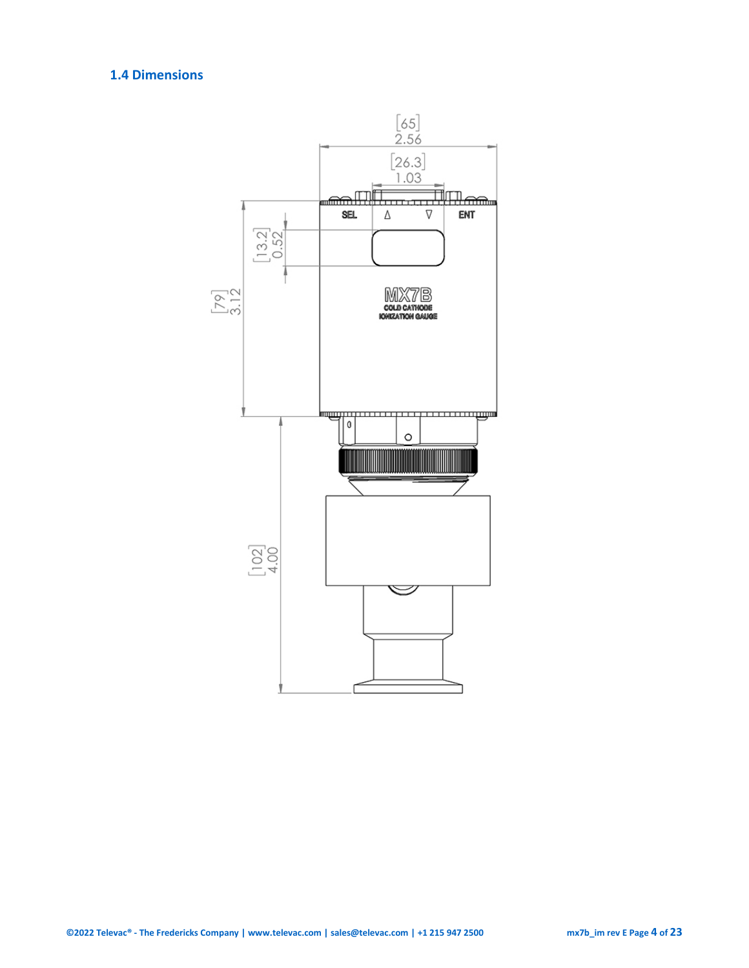## <span id="page-3-0"></span>**1.4 Dimensions**

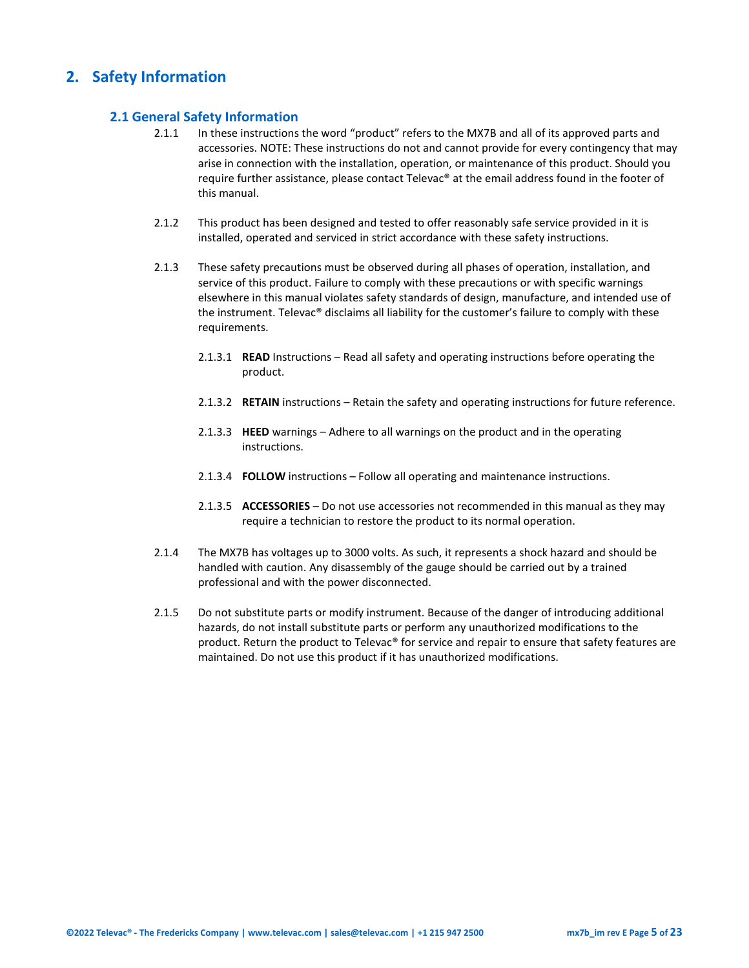## <span id="page-4-1"></span><span id="page-4-0"></span>**2. Safety Information**

#### **2.1 General Safety Information**

- 2.1.1 In these instructions the word "product" refers to the MX7B and all of its approved parts and accessories. NOTE: These instructions do not and cannot provide for every contingency that may arise in connection with the installation, operation, or maintenance of this product. Should you require further assistance, please contact Televac® at the email address found in the footer of this manual.
- 2.1.2 This product has been designed and tested to offer reasonably safe service provided in it is installed, operated and serviced in strict accordance with these safety instructions.
- 2.1.3 These safety precautions must be observed during all phases of operation, installation, and service of this product. Failure to comply with these precautions or with specific warnings elsewhere in this manual violates safety standards of design, manufacture, and intended use of the instrument. Televac® disclaims all liability for the customer's failure to comply with these requirements.
	- 2.1.3.1 **READ** Instructions Read all safety and operating instructions before operating the product.
	- 2.1.3.2 **RETAIN** instructions Retain the safety and operating instructions for future reference.
	- 2.1.3.3 **HEED** warnings Adhere to all warnings on the product and in the operating instructions.
	- 2.1.3.4 **FOLLOW** instructions Follow all operating and maintenance instructions.
	- 2.1.3.5 **ACCESSORIES** Do not use accessories not recommended in this manual as they may require a technician to restore the product to its normal operation.
- 2.1.4 The MX7B has voltages up to 3000 volts. As such, it represents a shock hazard and should be handled with caution. Any disassembly of the gauge should be carried out by a trained professional and with the power disconnected.
- 2.1.5 Do not substitute parts or modify instrument. Because of the danger of introducing additional hazards, do not install substitute parts or perform any unauthorized modifications to the product. Return the product to Televac® for service and repair to ensure that safety features are maintained. Do not use this product if it has unauthorized modifications.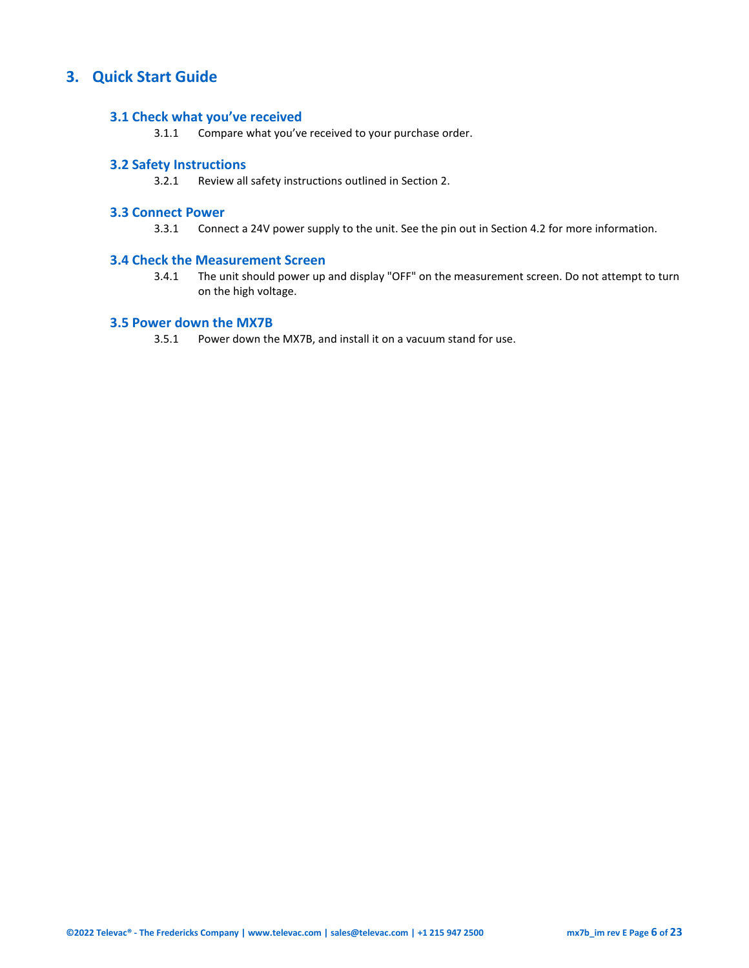## <span id="page-5-1"></span><span id="page-5-0"></span>**3. Quick Start Guide**

#### **3.1 Check what you've received**

3.1.1 Compare what you've received to your purchase order.

#### <span id="page-5-2"></span>**3.2 Safety Instructions**

3.2.1 Review all safety instructions outlined in Section 2.

#### <span id="page-5-3"></span>**3.3 Connect Power**

3.3.1 Connect a 24V power supply to the unit. See the pin out in Section 4.2 for more information.

#### <span id="page-5-4"></span>**3.4 Check the Measurement Screen**

3.4.1 The unit should power up and display "OFF" on the measurement screen. Do not attempt to turn on the high voltage.

#### <span id="page-5-5"></span>**3.5 Power down the MX7B**

3.5.1 Power down the MX7B, and install it on a vacuum stand for use.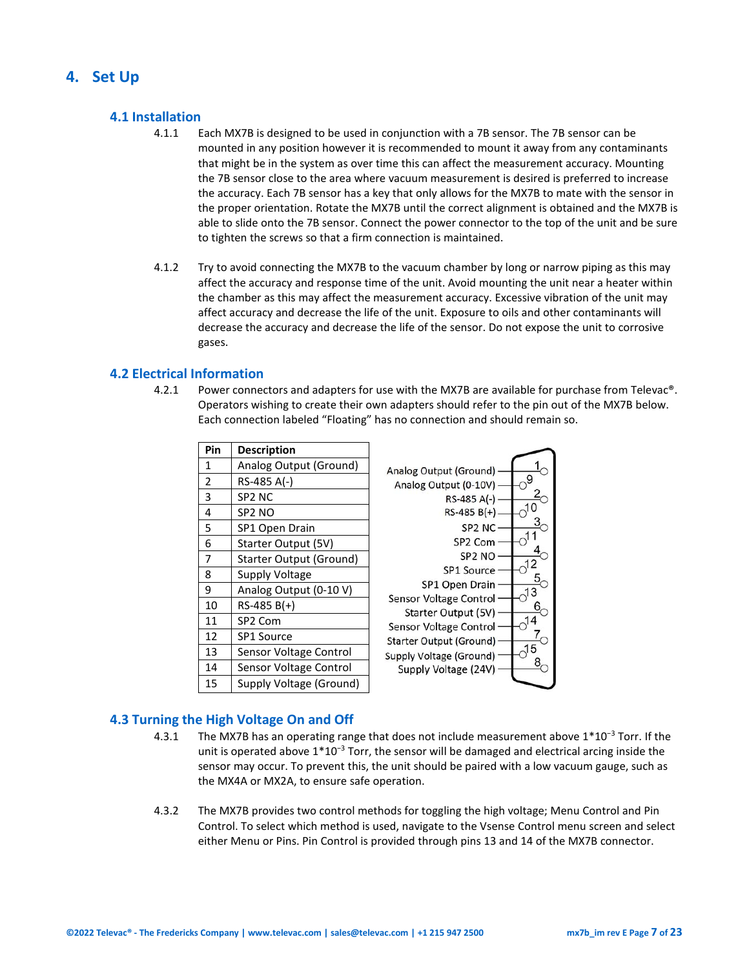## <span id="page-6-1"></span><span id="page-6-0"></span>**4. Set Up**

#### **4.1 Installation**

- 4.1.1 Each MX7B is designed to be used in conjunction with a 7B sensor. The 7B sensor can be mounted in any position however it is recommended to mount it away from any contaminants that might be in the system as over time this can affect the measurement accuracy. Mounting the 7B sensor close to the area where vacuum measurement is desired is preferred to increase the accuracy. Each 7B sensor has a key that only allows for the MX7B to mate with the sensor in the proper orientation. Rotate the MX7B until the correct alignment is obtained and the MX7B is able to slide onto the 7B sensor. Connect the power connector to the top of the unit and be sure to tighten the screws so that a firm connection is maintained.
- 4.1.2 Try to avoid connecting the MX7B to the vacuum chamber by long or narrow piping as this may affect the accuracy and response time of the unit. Avoid mounting the unit near a heater within the chamber as this may affect the measurement accuracy. Excessive vibration of the unit may affect accuracy and decrease the life of the unit. Exposure to oils and other contaminants will decrease the accuracy and decrease the life of the sensor. Do not expose the unit to corrosive gases.

#### <span id="page-6-2"></span>**4.2 Electrical Information**

4.2.1 Power connectors and adapters for use with the MX7B are available for purchase from Televac®. Operators wishing to create their own adapters should refer to the pin out of the MX7B below. Each connection labeled "Floating" has no connection and should remain so.

| Pin            | <b>Description</b>             |                                               |
|----------------|--------------------------------|-----------------------------------------------|
| $\mathbf{1}$   | Analog Output (Ground)         | Analog Output (Ground)                        |
| $\overline{2}$ | RS-485 A(-)                    | 9<br>Analog Output (0-10V)                    |
| 3              | SP <sub>2</sub> N <sub>C</sub> | RS-485 A(-)                                   |
| 4              | SP <sub>2</sub> NO             | $RS-485 B(+)$                                 |
| 5              | SP1 Open Drain                 | SP <sub>2</sub> N <sub>C</sub>                |
| 6              | Starter Output (5V)            | SP <sub>2</sub> Com                           |
| 7              | <b>Starter Output (Ground)</b> | SP <sub>2</sub> NO                            |
| 8              | Supply Voltage                 | <b>SP1 Source</b>                             |
| 9              | Analog Output (0-10 V)         | SP1 Open Drain<br>13                          |
| 10             | $RS-485 B(+)$                  | Sensor Voltage Control<br>Starter Output (5V) |
| 11             | SP2 Com                        | Sensor Voltage Control                        |
| 12             | SP1 Source                     | Starter Output (Ground)                       |
| 13             | Sensor Voltage Control         | 15<br>Supply Voltage (Ground)                 |
| 14             | Sensor Voltage Control         | Supply Voltage (24V)                          |
| 15             | Supply Voltage (Ground)        |                                               |

### <span id="page-6-3"></span>**4.3 Turning the High Voltage On and Off**

- 4.3.1 The MX7B has an operating range that does not include measurement above 1\*10<sup>−</sup><sup>3</sup> Torr. If the unit is operated above 1<sup>\*</sup>10<sup>-3</sup> Torr, the sensor will be damaged and electrical arcing inside the sensor may occur. To prevent this, the unit should be paired with a low vacuum gauge, such as the MX4A or MX2A, to ensure safe operation.
- 4.3.2 The MX7B provides two control methods for toggling the high voltage; Menu Control and Pin Control. To select which method is used, navigate to the Vsense Control menu screen and select either Menu or Pins. Pin Control is provided through pins 13 and 14 of the MX7B connector.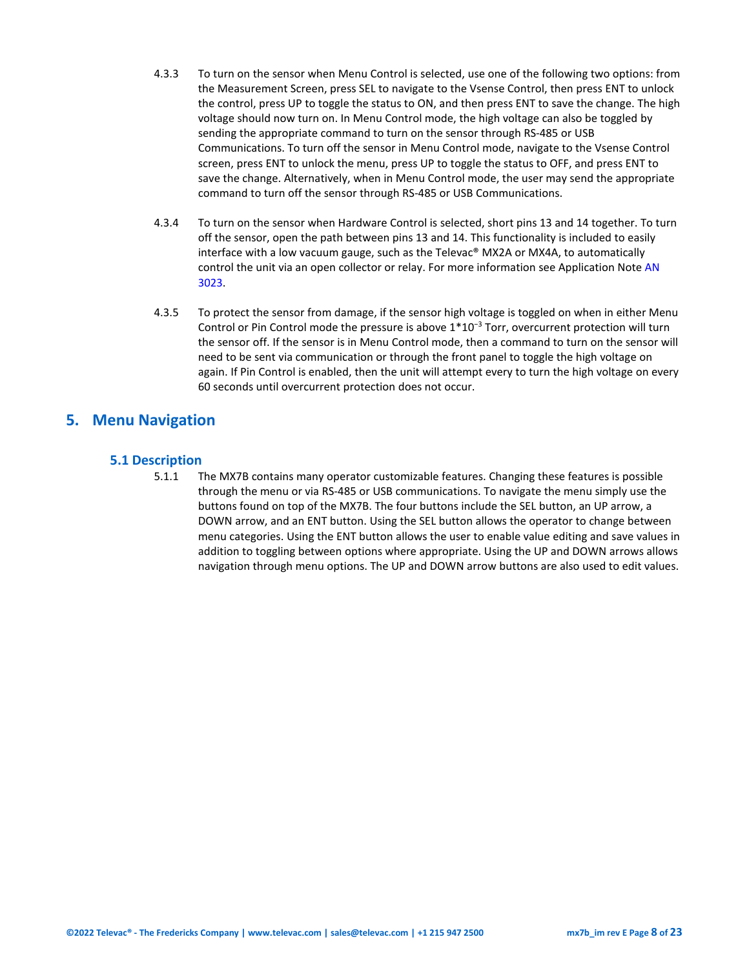- 4.3.3 To turn on the sensor when Menu Control is selected, use one of the following two options: from the Measurement Screen, press SEL to navigate to the Vsense Control, then press ENT to unlock the control, press UP to toggle the status to ON, and then press ENT to save the change. The high voltage should now turn on. In Menu Control mode, the high voltage can also be toggled by sending the appropriate command to turn on the sensor through RS-485 or USB Communications. To turn off the sensor in Menu Control mode, navigate to the Vsense Control screen, press ENT to unlock the menu, press UP to toggle the status to OFF, and press ENT to save the change. Alternatively, when in Menu Control mode, the user may send the appropriate command to turn off the sensor through RS-485 or USB Communications.
- 4.3.4 To turn on the sensor when Hardware Control is selected, short pins 13 and 14 together. To turn off the sensor, open the path between pins 13 and 14. This functionality is included to easily interface with a low vacuum gauge, such as the Televac® MX2A or MX4A, to automatically control the unit via an open collector or relay. For more information see Application Not[e AN](https://frederickscompany.com/application-notes/televac-an-3023-automatic-control/)  [3023.](https://frederickscompany.com/application-notes/televac-an-3023-automatic-control/)
- 4.3.5 To protect the sensor from damage, if the sensor high voltage is toggled on when in either Menu Control or Pin Control mode the pressure is above 1\*10<sup>−</sup><sup>3</sup> Torr, overcurrent protection will turn the sensor off. If the sensor is in Menu Control mode, then a command to turn on the sensor will need to be sent via communication or through the front panel to toggle the high voltage on again. If Pin Control is enabled, then the unit will attempt every to turn the high voltage on every 60 seconds until overcurrent protection does not occur.

## <span id="page-7-1"></span><span id="page-7-0"></span>**5. Menu Navigation**

#### **5.1 Description**

5.1.1 The MX7B contains many operator customizable features. Changing these features is possible through the menu or via RS-485 or USB communications. To navigate the menu simply use the buttons found on top of the MX7B. The four buttons include the SEL button, an UP arrow, a DOWN arrow, and an ENT button. Using the SEL button allows the operator to change between menu categories. Using the ENT button allows the user to enable value editing and save values in addition to toggling between options where appropriate. Using the UP and DOWN arrows allows navigation through menu options. The UP and DOWN arrow buttons are also used to edit values.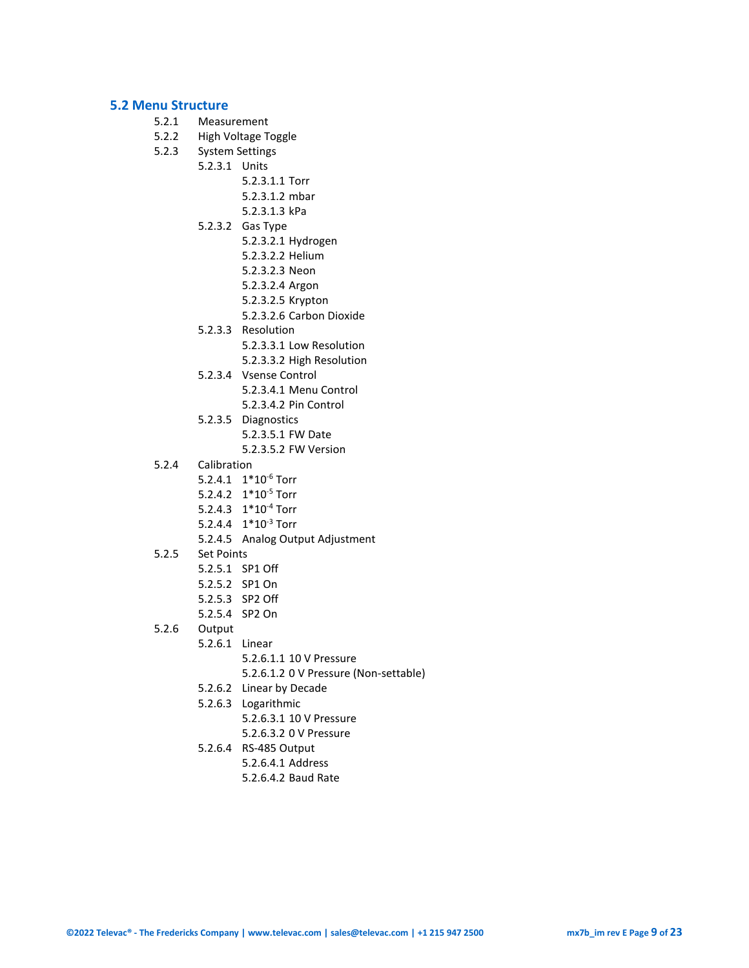#### <span id="page-8-0"></span>**5.2 Menu Structure**

- 5.2.1 Measurement
- 5.2.2 High Voltage Toggle<br>5.2.3 System Settings
- System Settings
- 5.2.3.1 Units
	- 5.2.3.1.1 Torr
	- 5.2.3.1.2 mbar
	- 5.2.3.1.3 kPa
	- 5.2.3.2 Gas Type
		- 5.2.3.2.1 Hydrogen
		- 5.2.3.2.2 Helium
		- 5.2.3.2.3 Neon
		- 5.2.3.2.4 Argon
		- 5.2.3.2.5 Krypton
		- 5.2.3.2.6 Carbon Dioxide
	- 5.2.3.3 Resolution
		- 5.2.3.3.1 Low Resolution
		- 5.2.3.3.2 High Resolution
	- 5.2.3.4 Vsense Control
		- 5.2.3.4.1 Menu Control
		- 5.2.3.4.2 Pin Control
	- 5.2.3.5 Diagnostics
		- 5.2.3.5.1 FW Date
			- 5.2.3.5.2 FW Version
- 5.2.4 Calibration
	- 5.2.4.1 1\*10-6 Torr
		- 5.2.4.2 1\*10-5 Torr
		- 5.2.4.3 1\*10-4 Torr
		- 5.2.4.4 1\*10-3 Torr
		- 5.2.4.5 Analog Output Adjustment
- 5.2.5 Set Points
	- 5.2.5.1 SP1 Off
	- 5.2.5.2 SP1 On
	- 5.2.5.3 SP2 Off
	- 5.2.5.4 SP2 On

#### 5.2.6 Output

- 5.2.6.1 Linear
	- 5.2.6.1.1 10 V Pressure
	- 5.2.6.1.2 0 V Pressure (Non-settable)
	- 5.2.6.2 Linear by Decade
	- 5.2.6.3 Logarithmic
		- 5.2.6.3.1 10 V Pressure
			- 5.2.6.3.2 0 V Pressure
	- 5.2.6.4 RS-485 Output
		- 5.2.6.4.1 Address
		- 5.2.6.4.2 Baud Rate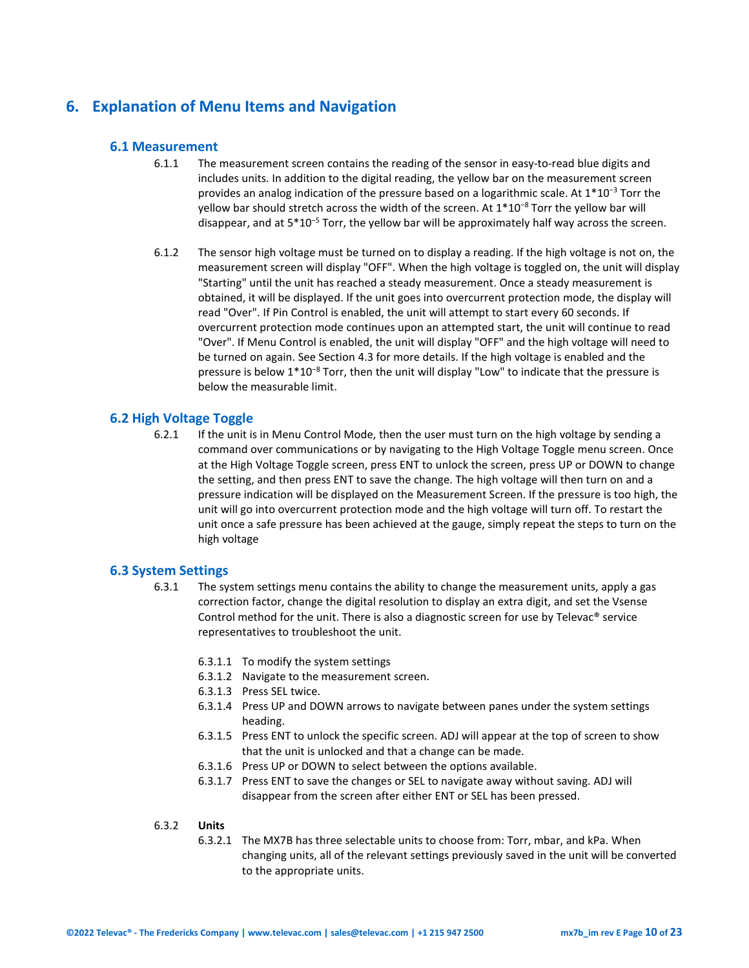## <span id="page-9-1"></span><span id="page-9-0"></span>**6. Explanation of Menu Items and Navigation**

#### **6.1 Measurement**

- 6.1.1 The measurement screen contains the reading of the sensor in easy-to-read blue digits and includes units. In addition to the digital reading, the yellow bar on the measurement screen provides an analog indication of the pressure based on a logarithmic scale. At 1\*10<sup>−</sup><sup>3</sup> Torr the yellow bar should stretch across the width of the screen. At 1\*10<sup>-8</sup> Torr the yellow bar will disappear, and at 5\*10<sup>−</sup><sup>5</sup> Torr, the yellow bar will be approximately half way across the screen.
- 6.1.2 The sensor high voltage must be turned on to display a reading. If the high voltage is not on, the measurement screen will display "OFF". When the high voltage is toggled on, the unit will display "Starting" until the unit has reached a steady measurement. Once a steady measurement is obtained, it will be displayed. If the unit goes into overcurrent protection mode, the display will read "Over". If Pin Control is enabled, the unit will attempt to start every 60 seconds. If overcurrent protection mode continues upon an attempted start, the unit will continue to read "Over". If Menu Control is enabled, the unit will display "OFF" and the high voltage will need to be turned on again. See Section 4.3 for more details. If the high voltage is enabled and the pressure is below 1\*10<sup>-8</sup> Torr, then the unit will display "Low" to indicate that the pressure is below the measurable limit.

#### <span id="page-9-2"></span>**6.2 High Voltage Toggle**

6.2.1 If the unit is in Menu Control Mode, then the user must turn on the high voltage by sending a command over communications or by navigating to the High Voltage Toggle menu screen. Once at the High Voltage Toggle screen, press ENT to unlock the screen, press UP or DOWN to change the setting, and then press ENT to save the change. The high voltage will then turn on and a pressure indication will be displayed on the Measurement Screen. If the pressure is too high, the unit will go into overcurrent protection mode and the high voltage will turn off. To restart the unit once a safe pressure has been achieved at the gauge, simply repeat the steps to turn on the high voltage

#### <span id="page-9-3"></span>**6.3 System Settings**

- 6.3.1 The system settings menu contains the ability to change the measurement units, apply a gas correction factor, change the digital resolution to display an extra digit, and set the Vsense Control method for the unit. There is also a diagnostic screen for use by Televac® service representatives to troubleshoot the unit.
	- 6.3.1.1 To modify the system settings
	- 6.3.1.2 Navigate to the measurement screen.
	- 6.3.1.3 Press SEL twice.
	- 6.3.1.4 Press UP and DOWN arrows to navigate between panes under the system settings heading.
	- 6.3.1.5 Press ENT to unlock the specific screen. ADJ will appear at the top of screen to show that the unit is unlocked and that a change can be made.
	- 6.3.1.6 Press UP or DOWN to select between the options available.
	- 6.3.1.7 Press ENT to save the changes or SEL to navigate away without saving. ADJ will disappear from the screen after either ENT or SEL has been pressed.

#### 6.3.2 **Units**

6.3.2.1 The MX7B has three selectable units to choose from: Torr, mbar, and kPa. When changing units, all of the relevant settings previously saved in the unit will be converted to the appropriate units.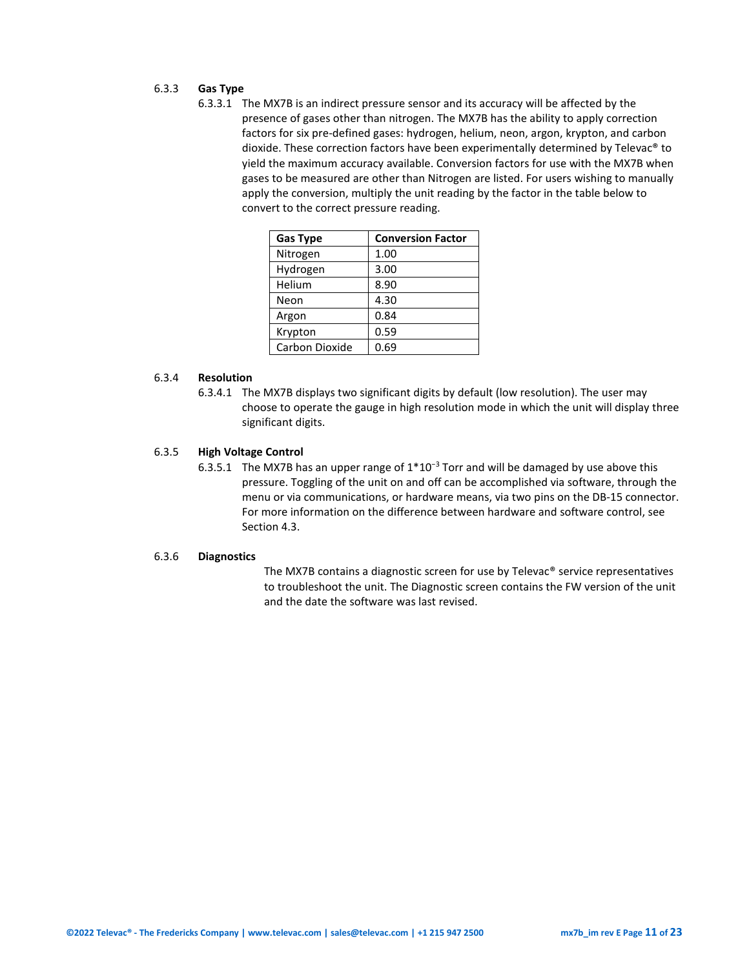#### 6.3.3 **Gas Type**

6.3.3.1 The MX7B is an indirect pressure sensor and its accuracy will be affected by the presence of gases other than nitrogen. The MX7B has the ability to apply correction factors for six pre-defined gases: hydrogen, helium, neon, argon, krypton, and carbon dioxide. These correction factors have been experimentally determined by Televac® to yield the maximum accuracy available. Conversion factors for use with the MX7B when gases to be measured are other than Nitrogen are listed. For users wishing to manually apply the conversion, multiply the unit reading by the factor in the table below to convert to the correct pressure reading.

| <b>Gas Type</b> | <b>Conversion Factor</b> |
|-----------------|--------------------------|
| Nitrogen        | 1.00                     |
| Hydrogen        | 3.00                     |
| Helium          | 8.90                     |
| Neon            | 4.30                     |
| Argon           | 0.84                     |
| Krypton         | 0.59                     |
| Carbon Dioxide  | 0.69                     |

#### 6.3.4 **Resolution**

6.3.4.1 The MX7B displays two significant digits by default (low resolution). The user may choose to operate the gauge in high resolution mode in which the unit will display three significant digits.

#### 6.3.5 **High Voltage Control**

6.3.5.1 The MX7B has an upper range of 1\*10<sup>−</sup><sup>3</sup> Torr and will be damaged by use above this pressure. Toggling of the unit on and off can be accomplished via software, through the menu or via communications, or hardware means, via two pins on the DB-15 connector. For more information on the difference between hardware and software control, see Section 4.3.

#### 6.3.6 **Diagnostics**

The MX7B contains a diagnostic screen for use by Televac® service representatives to troubleshoot the unit. The Diagnostic screen contains the FW version of the unit and the date the software was last revised.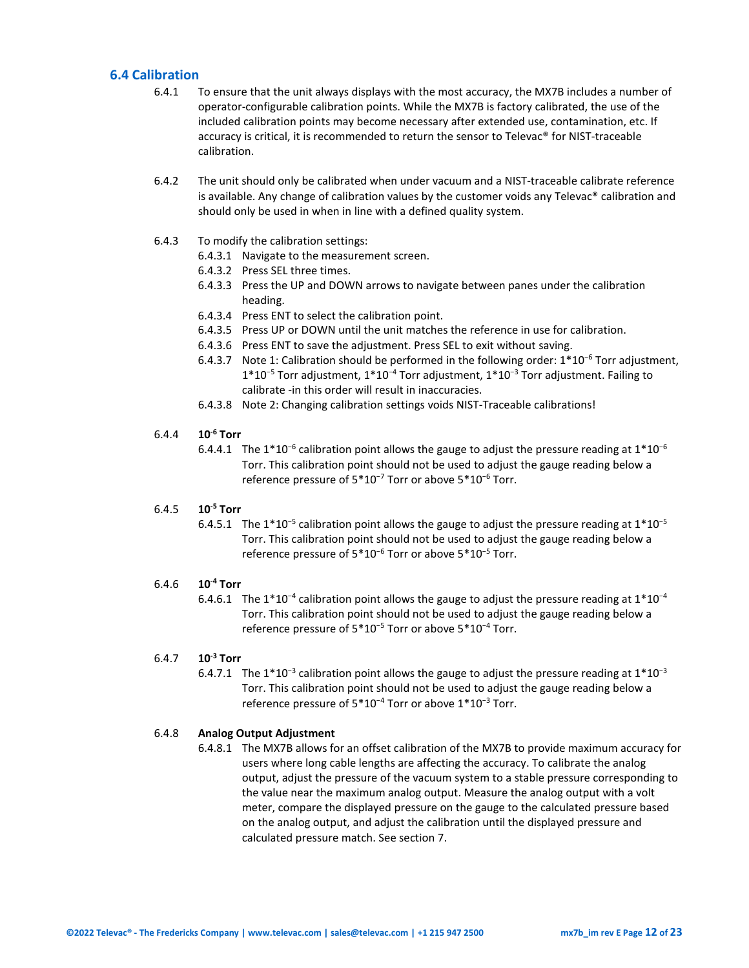#### <span id="page-11-0"></span>**6.4 Calibration**

- 6.4.1 To ensure that the unit always displays with the most accuracy, the MX7B includes a number of operator-configurable calibration points. While the MX7B is factory calibrated, the use of the included calibration points may become necessary after extended use, contamination, etc. If accuracy is critical, it is recommended to return the sensor to Televac® for NIST-traceable calibration.
- 6.4.2 The unit should only be calibrated when under vacuum and a NIST-traceable calibrate reference is available. Any change of calibration values by the customer voids any Televac® calibration and should only be used in when in line with a defined quality system.
- 6.4.3 To modify the calibration settings:
	- 6.4.3.1 Navigate to the measurement screen.
	- 6.4.3.2 Press SEL three times.
	- 6.4.3.3 Press the UP and DOWN arrows to navigate between panes under the calibration heading.
	- 6.4.3.4 Press ENT to select the calibration point.
	- 6.4.3.5 Press UP or DOWN until the unit matches the reference in use for calibration.
	- 6.4.3.6 Press ENT to save the adjustment. Press SEL to exit without saving.
	- 6.4.3.7 Note 1: Calibration should be performed in the following order: 1\*10<sup>−</sup><sup>6</sup> Torr adjustment, 1\*10<sup>−</sup><sup>5</sup> Torr adjustment, 1\*10<sup>−</sup><sup>4</sup> Torr adjustment, 1\*10<sup>−</sup><sup>3</sup> Torr adjustment. Failing to calibrate -in this order will result in inaccuracies.
	- 6.4.3.8 Note 2: Changing calibration settings voids NIST-Traceable calibrations!

#### 6.4.4 **10-6 Torr**

6.4.4.1 The 1\*10<sup>-6</sup> calibration point allows the gauge to adjust the pressure reading at  $1*10^{-6}$ Torr. This calibration point should not be used to adjust the gauge reading below a reference pressure of 5\*10<sup>−</sup><sup>7</sup> Torr or above 5\*10<sup>−</sup><sup>6</sup> Torr.

#### 6.4.5 **10-5 Torr**

6.4.5.1 The 1\*10<sup>-5</sup> calibration point allows the gauge to adjust the pressure reading at  $1*10^{-5}$ Torr. This calibration point should not be used to adjust the gauge reading below a reference pressure of 5\*10<sup>−</sup><sup>6</sup> Torr or above 5\*10<sup>−</sup><sup>5</sup> Torr.

#### 6.4.6 **10-4 Torr**

6.4.6.1 The 1\*10<sup>-4</sup> calibration point allows the gauge to adjust the pressure reading at  $1*10^{-4}$ Torr. This calibration point should not be used to adjust the gauge reading below a reference pressure of 5\*10<sup>−</sup><sup>5</sup> Torr or above 5\*10<sup>−</sup><sup>4</sup> Torr.

#### 6.4.7 **10-3 Torr**

6.4.7.1 The 1\*10<sup>-3</sup> calibration point allows the gauge to adjust the pressure reading at  $1*10^{-3}$ Torr. This calibration point should not be used to adjust the gauge reading below a reference pressure of 5\*10<sup>-4</sup> Torr or above 1\*10<sup>-3</sup> Torr.

#### 6.4.8 **Analog Output Adjustment**

6.4.8.1 The MX7B allows for an offset calibration of the MX7B to provide maximum accuracy for users where long cable lengths are affecting the accuracy. To calibrate the analog output, adjust the pressure of the vacuum system to a stable pressure corresponding to the value near the maximum analog output. Measure the analog output with a volt meter, compare the displayed pressure on the gauge to the calculated pressure based on the analog output, and adjust the calibration until the displayed pressure and calculated pressure match. See section 7.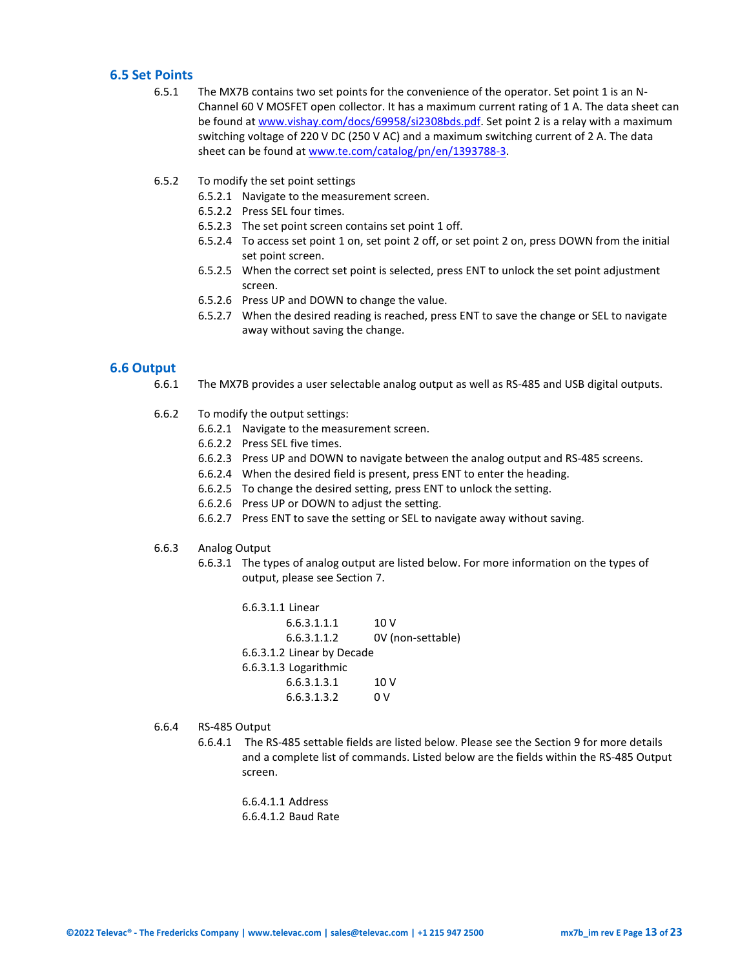#### <span id="page-12-0"></span>**6.5 Set Points**

- 6.5.1 The MX7B contains two set points for the convenience of the operator. Set point 1 is an N-Channel 60 V MOSFET open collector. It has a maximum current rating of 1 A. The data sheet can be found a[t www.vishay.com/docs/69958/si2308bds.pdf.](http://www.vishay.com/docs/69958/si2308bds.pdf) Set point 2 is a relay with a maximum switching voltage of 220 V DC (250 V AC) and a maximum switching current of 2 A. The data sheet can be found a[t www.te.com/catalog/pn/en/1393788-3.](http://www.te.com/catalog/pn/en/1393788-3)
- 6.5.2 To modify the set point settings
	- 6.5.2.1 Navigate to the measurement screen.
	- 6.5.2.2 Press SEL four times.
	- 6.5.2.3 The set point screen contains set point 1 off.
	- 6.5.2.4 To access set point 1 on, set point 2 off, or set point 2 on, press DOWN from the initial set point screen.
	- 6.5.2.5 When the correct set point is selected, press ENT to unlock the set point adjustment screen.
	- 6.5.2.6 Press UP and DOWN to change the value.
	- 6.5.2.7 When the desired reading is reached, press ENT to save the change or SEL to navigate away without saving the change.

#### <span id="page-12-1"></span>**6.6 Output**

- 6.6.1 The MX7B provides a user selectable analog output as well as RS-485 and USB digital outputs.
- 6.6.2 To modify the output settings:
	- 6.6.2.1 Navigate to the measurement screen.
	- 6.6.2.2 Press SEL five times.
	- 6.6.2.3 Press UP and DOWN to navigate between the analog output and RS-485 screens.
	- 6.6.2.4 When the desired field is present, press ENT to enter the heading.
	- 6.6.2.5 To change the desired setting, press ENT to unlock the setting.
	- 6.6.2.6 Press UP or DOWN to adjust the setting.
	- 6.6.2.7 Press ENT to save the setting or SEL to navigate away without saving.
- 6.6.3 Analog Output
	- 6.6.3.1 The types of analog output are listed below. For more information on the types of output, please see Section 7.

6.6.3.1.1 Linear  $6.6.3.1.1.1$  10 V 6.6.3.1.1.2 0V (non-settable) 6.6.3.1.2 Linear by Decade 6.6.3.1.3 Logarithmic  $6.6.3.1.3.1$  10 V 6.6.3.1.3.2 0 V

- 6.6.4 RS-485 Output
	- 6.6.4.1 The RS-485 settable fields are listed below. Please see the Section 9 for more details and a complete list of commands. Listed below are the fields within the RS-485 Output screen.

6.6.4.1.1 Address 6.6.4.1.2 Baud Rate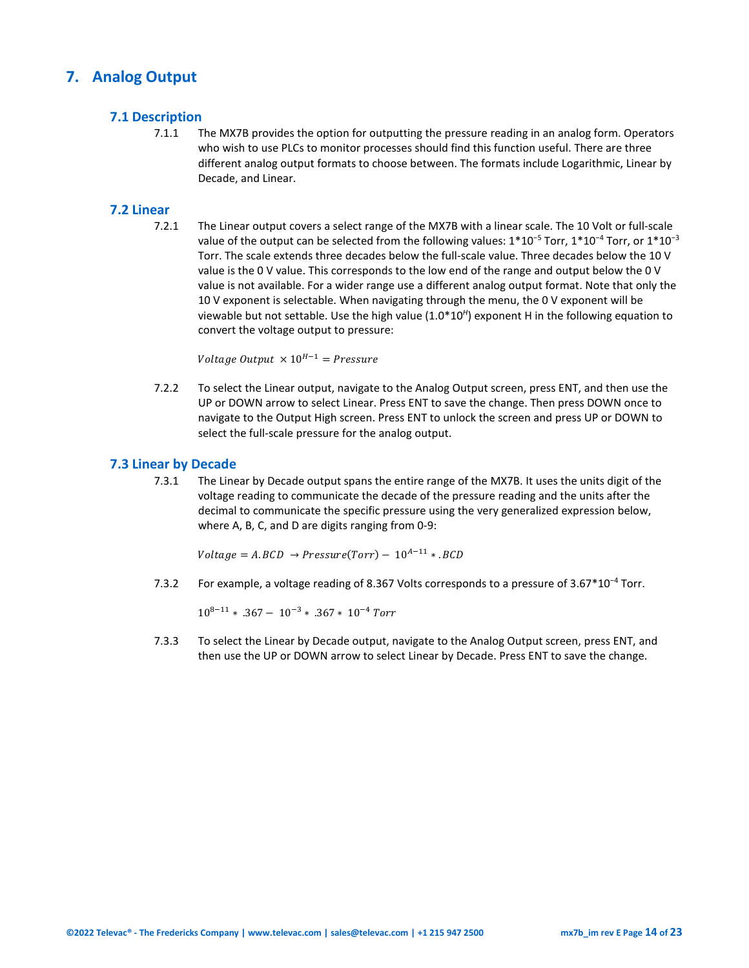## <span id="page-13-1"></span><span id="page-13-0"></span>**7. Analog Output**

#### **7.1 Description**

7.1.1 The MX7B provides the option for outputting the pressure reading in an analog form. Operators who wish to use PLCs to monitor processes should find this function useful. There are three different analog output formats to choose between. The formats include Logarithmic, Linear by Decade, and Linear.

#### <span id="page-13-2"></span>**7.2 Linear**

7.2.1 The Linear output covers a select range of the MX7B with a linear scale. The 10 Volt or full-scale value of the output can be selected from the following values: 1\*10<sup>-5</sup> Torr, 1\*10<sup>-4</sup> Torr, or 1\*10<sup>-3</sup> Torr. The scale extends three decades below the full-scale value. Three decades below the 10 V value is the 0 V value. This corresponds to the low end of the range and output below the 0 V value is not available. For a wider range use a different analog output format. Note that only the 10 V exponent is selectable. When navigating through the menu, the 0 V exponent will be viewable but not settable. Use the high value (1.0\*10*<sup>H</sup>*) exponent H in the following equation to convert the voltage output to pressure:

Voltage Output  $\times 10^{H-1}$  = Pressure

7.2.2 To select the Linear output, navigate to the Analog Output screen, press ENT, and then use the UP or DOWN arrow to select Linear. Press ENT to save the change. Then press DOWN once to navigate to the Output High screen. Press ENT to unlock the screen and press UP or DOWN to select the full-scale pressure for the analog output.

#### <span id="page-13-3"></span>**7.3 Linear by Decade**

7.3.1 The Linear by Decade output spans the entire range of the MX7B. It uses the units digit of the voltage reading to communicate the decade of the pressure reading and the units after the decimal to communicate the specific pressure using the very generalized expression below, where A, B, C, and D are digits ranging from 0-9:

 $Voltage = A.BCD \rightarrow Pressure(Torr) - 10^{A-11} * .BCD$ 

7.3.2 For example, a voltage reading of 8.367 Volts corresponds to a pressure of 3.67\*10<sup>−</sup><sup>4</sup> Torr.

 $10^{8-11}$  ∗ .367 –  $10^{-3}$  ∗ .367 ∗  $10^{-4}$  Torr

7.3.3 To select the Linear by Decade output, navigate to the Analog Output screen, press ENT, and then use the UP or DOWN arrow to select Linear by Decade. Press ENT to save the change.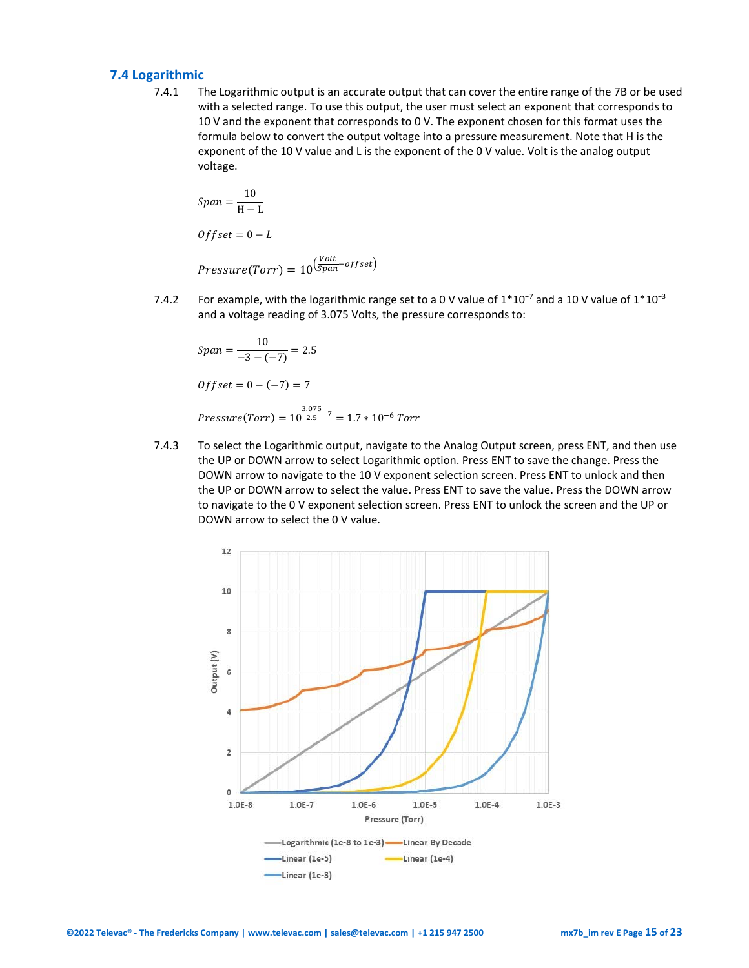#### <span id="page-14-0"></span>**7.4 Logarithmic**

7.4.1 The Logarithmic output is an accurate output that can cover the entire range of the 7B or be used with a selected range. To use this output, the user must select an exponent that corresponds to 10 V and the exponent that corresponds to 0 V. The exponent chosen for this format uses the formula below to convert the output voltage into a pressure measurement. Note that H is the exponent of the 10 V value and L is the exponent of the 0 V value. Volt is the analog output voltage.

$$
Span = \frac{10}{H - L}
$$
  
Offset = 0 - L  
Pressure(Torr) =  $10^{\left(\frac{Volt}{Span} - offset\right)}$ 

7.4.2 For example, with the logarithmic range set to a 0 V value of  $1*10<sup>-7</sup>$  and a 10 V value of  $1*10<sup>-3</sup>$ and a voltage reading of 3.075 Volts, the pressure corresponds to:

$$
Span = \frac{10}{-3 - (-7)} = 2.5
$$
  
Offset = 0 - (-7) = 7

$$
Pressure(Torr) = 10^{\frac{3.075}{2.5} - 7} = 1.7 * 10^{-6} Torr
$$

7.4.3 To select the Logarithmic output, navigate to the Analog Output screen, press ENT, and then use the UP or DOWN arrow to select Logarithmic option. Press ENT to save the change. Press the DOWN arrow to navigate to the 10 V exponent selection screen. Press ENT to unlock and then the UP or DOWN arrow to select the value. Press ENT to save the value. Press the DOWN arrow to navigate to the 0 V exponent selection screen. Press ENT to unlock the screen and the UP or DOWN arrow to select the 0 V value.

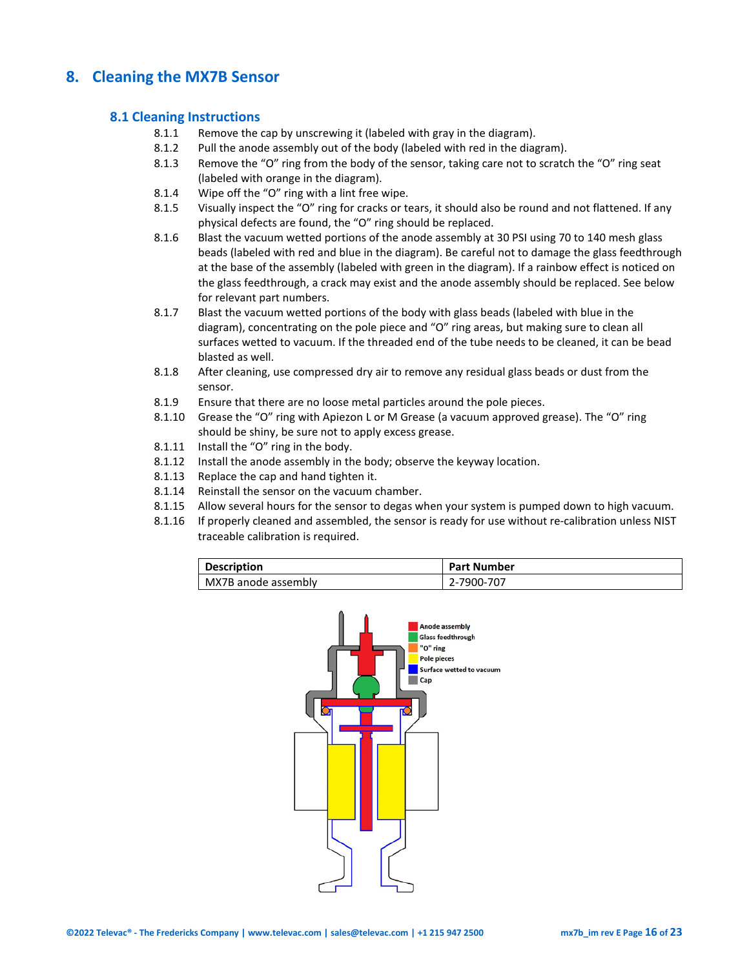## <span id="page-15-1"></span><span id="page-15-0"></span>**8. Cleaning the MX7B Sensor**

#### **8.1 Cleaning Instructions**

- 8.1.1 Remove the cap by unscrewing it (labeled with gray in the diagram).
- 8.1.2 Pull the anode assembly out of the body (labeled with red in the diagram).
- 8.1.3 Remove the "O" ring from the body of the sensor, taking care not to scratch the "O" ring seat (labeled with orange in the diagram).
- 8.1.4 Wipe off the "O" ring with a lint free wipe.
- 8.1.5 Visually inspect the "O" ring for cracks or tears, it should also be round and not flattened. If any physical defects are found, the "O" ring should be replaced.
- 8.1.6 Blast the vacuum wetted portions of the anode assembly at 30 PSI using 70 to 140 mesh glass beads (labeled with red and blue in the diagram). Be careful not to damage the glass feedthrough at the base of the assembly (labeled with green in the diagram). If a rainbow effect is noticed on the glass feedthrough, a crack may exist and the anode assembly should be replaced. See below for relevant part numbers.
- 8.1.7 Blast the vacuum wetted portions of the body with glass beads (labeled with blue in the diagram), concentrating on the pole piece and "O" ring areas, but making sure to clean all surfaces wetted to vacuum. If the threaded end of the tube needs to be cleaned, it can be bead blasted as well.
- 8.1.8 After cleaning, use compressed dry air to remove any residual glass beads or dust from the sensor.
- 8.1.9 Ensure that there are no loose metal particles around the pole pieces.
- 8.1.10 Grease the "O" ring with Apiezon L or M Grease (a vacuum approved grease). The "O" ring should be shiny, be sure not to apply excess grease.
- 8.1.11 Install the "O" ring in the body.
- 8.1.12 Install the anode assembly in the body; observe the keyway location.
- 8.1.13 Replace the cap and hand tighten it.
- 8.1.14 Reinstall the sensor on the vacuum chamber.
- 8.1.15 Allow several hours for the sensor to degas when your system is pumped down to high vacuum.
- 8.1.16 If properly cleaned and assembled, the sensor is ready for use without re-calibration unless NIST traceable calibration is required.

| <b>Description</b>  | <b>Part Number</b> |
|---------------------|--------------------|
| MX7B anode assembly | 2-7900-707         |

<span id="page-15-2"></span>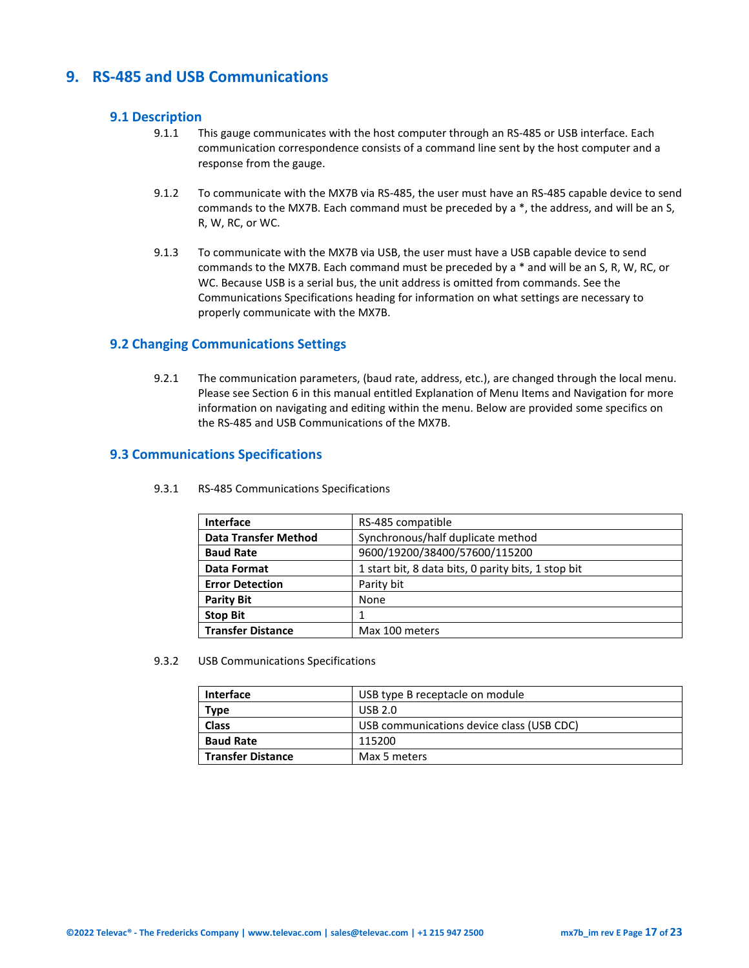## <span id="page-16-0"></span>**9. RS-485 and USB Communications**

#### **9.1 Description**

- 9.1.1 This gauge communicates with the host computer through an RS-485 or USB interface. Each communication correspondence consists of a command line sent by the host computer and a response from the gauge.
- 9.1.2 To communicate with the MX7B via RS-485, the user must have an RS-485 capable device to send commands to the MX7B. Each command must be preceded by a \*, the address, and will be an S, R, W, RC, or WC.
- 9.1.3 To communicate with the MX7B via USB, the user must have a USB capable device to send commands to the MX7B. Each command must be preceded by a \* and will be an S, R, W, RC, or WC. Because USB is a serial bus, the unit address is omitted from commands. See the Communications Specifications heading for information on what settings are necessary to properly communicate with the MX7B.

#### <span id="page-16-1"></span>**9.2 Changing Communications Settings**

9.2.1 The communication parameters, (baud rate, address, etc.), are changed through the local menu. Please see Section 6 in this manual entitled Explanation of Menu Items and Navigation for more information on navigating and editing within the menu. Below are provided some specifics on the RS-485 and USB Communications of the MX7B.

#### <span id="page-16-2"></span>**9.3 Communications Specifications**

| <b>Interface</b>                                                          | RS-485 compatible                 |  |
|---------------------------------------------------------------------------|-----------------------------------|--|
| <b>Data Transfer Method</b>                                               | Synchronous/half duplicate method |  |
| 9600/19200/38400/57600/115200<br><b>Baud Rate</b>                         |                                   |  |
| 1 start bit, 8 data bits, 0 parity bits, 1 stop bit<br><b>Data Format</b> |                                   |  |
| <b>Error Detection</b>                                                    | Parity bit                        |  |
| <b>Parity Bit</b>                                                         | None                              |  |
| <b>Stop Bit</b>                                                           |                                   |  |
| <b>Transfer Distance</b>                                                  | Max 100 meters                    |  |

9.3.1 RS-485 Communications Specifications

9.3.2 USB Communications Specifications

| <b>Interface</b>       | USB type B receptacle on module           |  |
|------------------------|-------------------------------------------|--|
| USB 2.0<br><b>Type</b> |                                           |  |
| <b>Class</b>           | USB communications device class (USB CDC) |  |
| <b>Baud Rate</b>       | 115200                                    |  |
| l Transfer Distance    | Max 5 meters                              |  |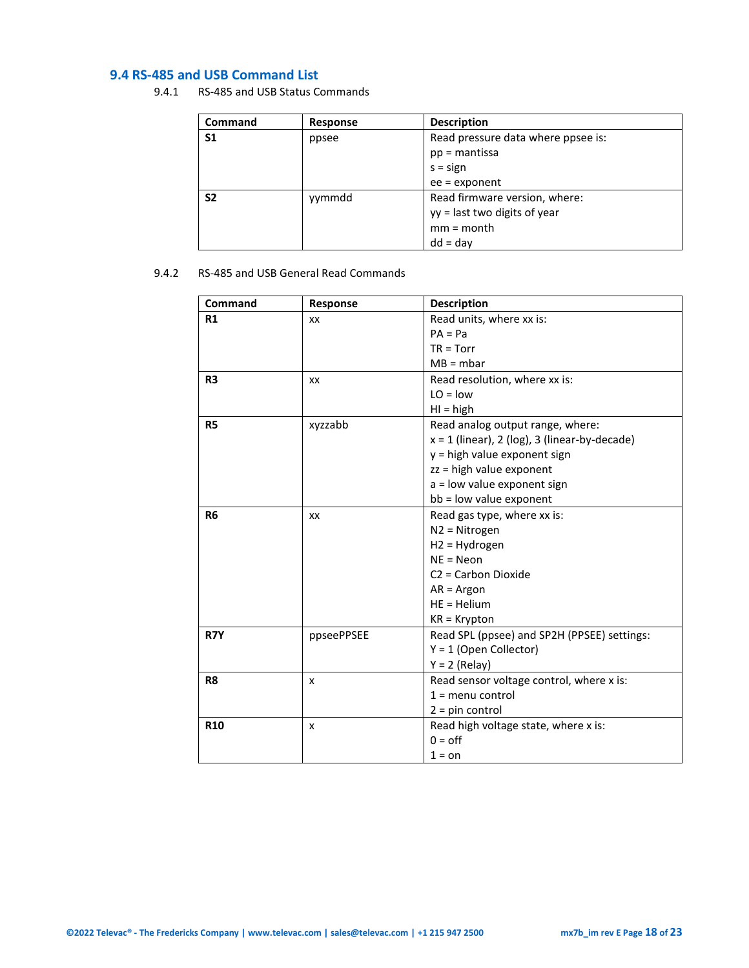## <span id="page-17-0"></span>**9.4 RS-485 and USB Command List**

9.4.1 RS-485 and USB Status Commands

| <b>Command</b> | Response | <b>Description</b>                 |
|----------------|----------|------------------------------------|
| S1             | ppsee    | Read pressure data where ppsee is: |
|                |          | $pp =$ mantissa                    |
|                |          | $s = sign$                         |
|                |          | $ee =$ exponent                    |
| S <sub>2</sub> | yymmdd   | Read firmware version, where:      |
|                |          | yy = last two digits of year       |
|                |          | $mm = month$                       |
|                |          | $dd = day$                         |

#### 9.4.2 RS-485 and USB General Read Commands

| Command        | Response   | <b>Description</b>                              |
|----------------|------------|-------------------------------------------------|
| R1             | XX         | Read units, where xx is:                        |
|                |            | $PA = Pa$                                       |
|                |            | $TR = Torr$                                     |
|                |            | $MB = mbar$                                     |
| R <sub>3</sub> | XX         | Read resolution, where xx is:                   |
|                |            | $LO = low$                                      |
|                |            | $H = high$                                      |
| R <sub>5</sub> | xyzzabb    | Read analog output range, where:                |
|                |            | $x = 1$ (linear), 2 (log), 3 (linear-by-decade) |
|                |            | y = high value exponent sign                    |
|                |            | zz = high value exponent                        |
|                |            | a = low value exponent sign                     |
|                |            | bb = low value exponent                         |
| R <sub>6</sub> | XX         | Read gas type, where xx is:                     |
|                |            | N2 = Nitrogen                                   |
|                |            | H2 = Hydrogen                                   |
|                |            | $NE = Neon$                                     |
|                |            | C <sub>2</sub> = Carbon Dioxide                 |
|                |            | $AR = Argon$                                    |
|                |            | $HE = Helium$                                   |
|                |            | $KR = Krypton$                                  |
| R7Y            | ppseePPSEE | Read SPL (ppsee) and SP2H (PPSEE) settings:     |
|                |            | $Y = 1$ (Open Collector)                        |
|                |            | $Y = 2$ (Relay)                                 |
| R <sub>8</sub> | x          | Read sensor voltage control, where x is:        |
|                |            | $1 =$ menu control                              |
|                |            | $2 = pin control$                               |
| <b>R10</b>     | x          | Read high voltage state, where x is:            |
|                |            | $0 =$ off                                       |
|                |            | $1 = on$                                        |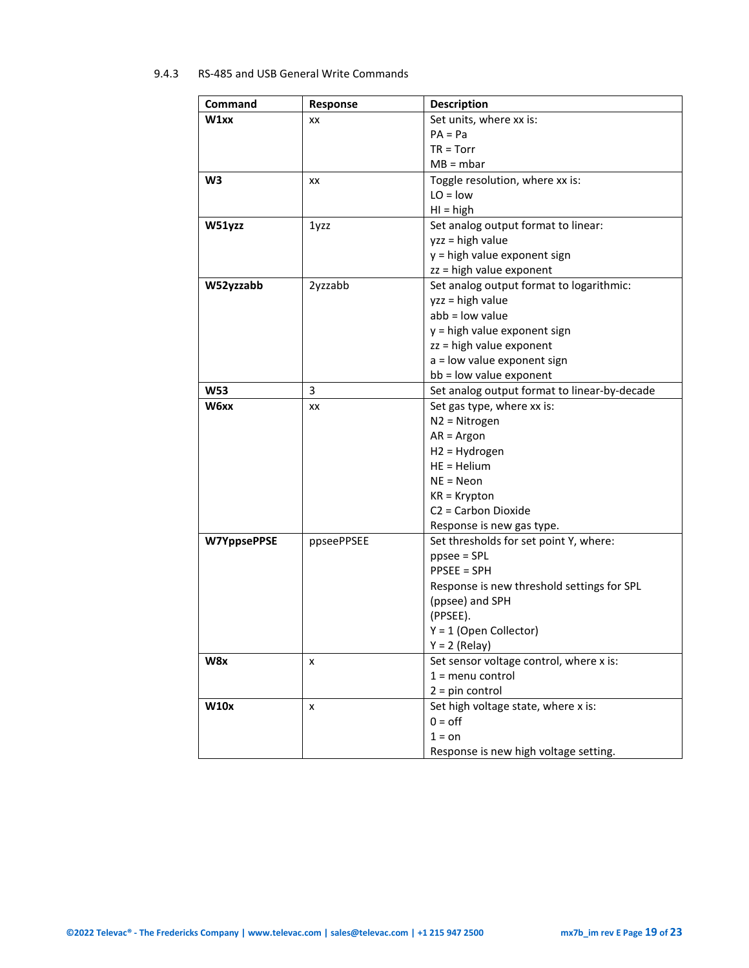#### 9.4.3 RS-485 and USB General Write Commands

| Command            | Response   | <b>Description</b>                           |
|--------------------|------------|----------------------------------------------|
| W1xx               | XX         | Set units, where xx is:                      |
|                    |            | $PA = Pa$                                    |
|                    |            | $TR = Torr$                                  |
|                    |            | $MB = mbar$                                  |
| W <sub>3</sub>     | XX         | Toggle resolution, where xx is:              |
|                    |            | $LO = low$                                   |
|                    |            | $H = high$                                   |
| W51yzz             | 1yzz       | Set analog output format to linear:          |
|                    |            | $yzz = high value$                           |
|                    |            | y = high value exponent sign                 |
|                    |            | zz = high value exponent                     |
| W52yzzabb          | 2yzzabb    | Set analog output format to logarithmic:     |
|                    |            | yzz = high value                             |
|                    |            | $abb = low$ value                            |
|                    |            | y = high value exponent sign                 |
|                    |            | zz = high value exponent                     |
|                    |            | a = low value exponent sign                  |
|                    |            | bb = low value exponent                      |
| <b>W53</b>         | 3          | Set analog output format to linear-by-decade |
| W6xx               | XX         | Set gas type, where xx is:                   |
|                    |            | $N2 = Nitrogen$                              |
|                    |            | $AR = Argon$                                 |
|                    |            | $H2 = Hydrogen$                              |
|                    |            | $HE = Helium$                                |
|                    |            | $NE = Neon$                                  |
|                    |            | $KR = Krypton$                               |
|                    |            | C <sub>2</sub> = Carbon Dioxide              |
|                    |            | Response is new gas type.                    |
| <b>W7YppsePPSE</b> | ppseePPSEE | Set thresholds for set point Y, where:       |
|                    |            | $ppsee = SPI$                                |
|                    |            | <b>PPSEE = SPH</b>                           |
|                    |            | Response is new threshold settings for SPL   |
|                    |            | (ppsee) and SPH                              |
|                    |            | (PPSEE).                                     |
|                    |            | $Y = 1$ (Open Collector)<br>$Y = 2$ (Relay)  |
| W8x                |            | Set sensor voltage control, where x is:      |
|                    | x          | $1 =$ menu control                           |
|                    |            | $2 = pin control$                            |
| <b>W10x</b>        | x          | Set high voltage state, where x is:          |
|                    |            | $0 =$ off                                    |
|                    |            | $1 = on$                                     |
|                    |            | Response is new high voltage setting.        |
|                    |            |                                              |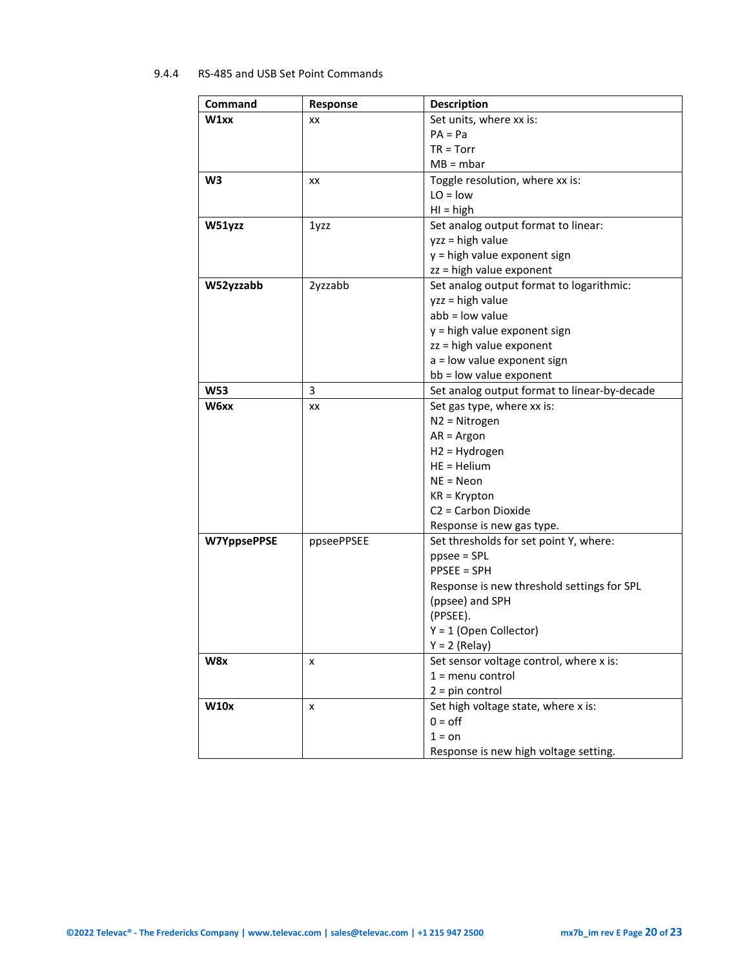#### 9.4.4 RS-485 and USB Set Point Commands

| Command            | Response   | <b>Description</b>                           |
|--------------------|------------|----------------------------------------------|
| W1xx               | XX         | Set units, where xx is:                      |
|                    |            | $PA = Pa$                                    |
|                    |            | $TR = Torr$                                  |
|                    |            | $MB = mbar$                                  |
| W <sub>3</sub>     | XX         | Toggle resolution, where xx is:              |
|                    |            | $LO = low$                                   |
|                    |            | $H = high$                                   |
| W51yzz             | 1yzz       | Set analog output format to linear:          |
|                    |            | $yzz = high value$                           |
|                    |            | y = high value exponent sign                 |
|                    |            | zz = high value exponent                     |
| W52yzzabb          | 2yzzabb    | Set analog output format to logarithmic:     |
|                    |            | yzz = high value                             |
|                    |            | $abb = low$ value                            |
|                    |            | y = high value exponent sign                 |
|                    |            | zz = high value exponent                     |
|                    |            | a = low value exponent sign                  |
|                    |            | bb = low value exponent                      |
| <b>W53</b>         | 3          | Set analog output format to linear-by-decade |
| W6xx               | XX         | Set gas type, where xx is:                   |
|                    |            | $N2 = Nitrogen$                              |
|                    |            | $AR = Argon$                                 |
|                    |            | $H2 = Hydrogen$                              |
|                    |            | $HE = Helium$                                |
|                    |            | $NE = Neon$                                  |
|                    |            | $KR = Krypton$                               |
|                    |            | C <sub>2</sub> = Carbon Dioxide              |
|                    |            | Response is new gas type.                    |
| <b>W7YppsePPSE</b> | ppseePPSEE | Set thresholds for set point Y, where:       |
|                    |            | $ppsee = SPI$                                |
|                    |            | <b>PPSEE = SPH</b>                           |
|                    |            | Response is new threshold settings for SPL   |
|                    |            | (ppsee) and SPH                              |
|                    |            | (PPSEE).                                     |
|                    |            | $Y = 1$ (Open Collector)                     |
|                    |            | $Y = 2$ (Relay)                              |
| W8x                | x          | Set sensor voltage control, where x is:      |
|                    |            | $1 =$ menu control                           |
|                    |            | $2 = pin control$                            |
| <b>W10x</b>        | x          | Set high voltage state, where x is:          |
|                    |            | $0 =$ off                                    |
|                    |            | $1 = on$                                     |
|                    |            | Response is new high voltage setting.        |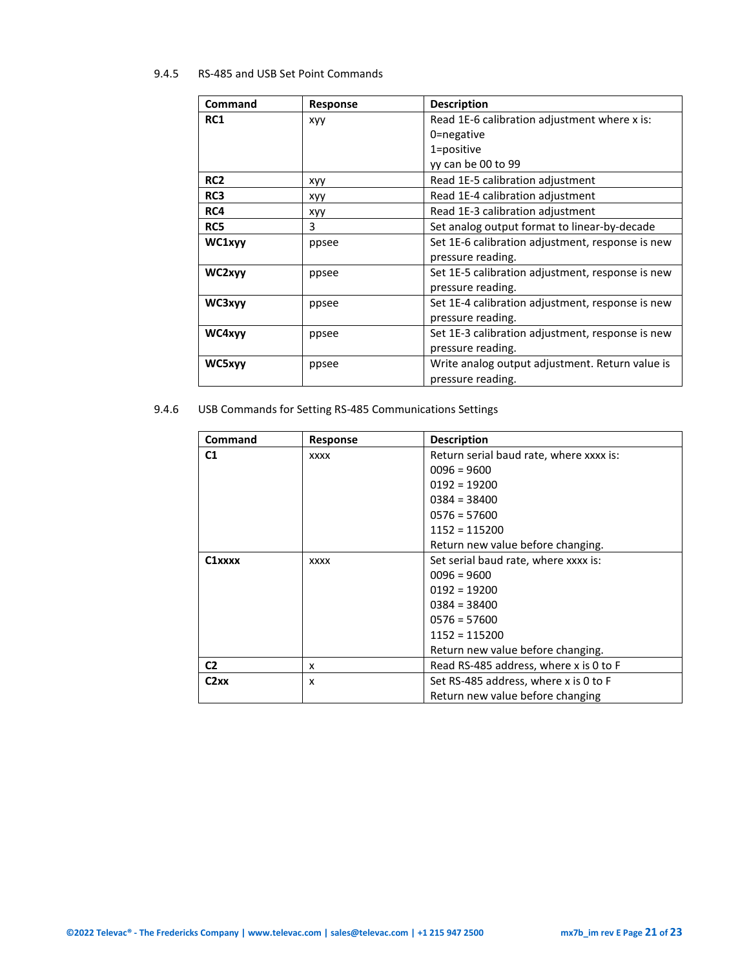#### 9.4.5 RS-485 and USB Set Point Commands

| Command         | <b>Response</b> | <b>Description</b>                               |
|-----------------|-----------------|--------------------------------------------------|
| <b>RC1</b>      | <b>XVV</b>      | Read 1E-6 calibration adjustment where x is:     |
|                 |                 | 0=negative                                       |
|                 |                 | 1=positive                                       |
|                 |                 | yy can be 00 to 99                               |
| RC <sub>2</sub> | xyy             | Read 1E-5 calibration adjustment                 |
| RC3             | xyy             | Read 1E-4 calibration adjustment                 |
| RC4             | xyy             | Read 1E-3 calibration adjustment                 |
| RC5             | 3               | Set analog output format to linear-by-decade     |
| WC1xyy          | ppsee           | Set 1E-6 calibration adjustment, response is new |
|                 |                 | pressure reading.                                |
| WC2xyy          | ppsee           | Set 1E-5 calibration adjustment, response is new |
|                 |                 | pressure reading.                                |
| WC3xyy          | ppsee           | Set 1E-4 calibration adjustment, response is new |
|                 |                 | pressure reading.                                |
| WC4xyv          | ppsee           | Set 1E-3 calibration adjustment, response is new |
|                 |                 | pressure reading.                                |
| WC5xyy          | ppsee           | Write analog output adjustment. Return value is  |
|                 |                 | pressure reading.                                |

9.4.6 USB Commands for Setting RS-485 Communications Settings

| Command             | <b>Response</b> | <b>Description</b>                      |
|---------------------|-----------------|-----------------------------------------|
| C <sub>1</sub>      | <b>XXXX</b>     | Return serial baud rate, where xxxx is: |
|                     |                 | $0096 = 9600$                           |
|                     |                 | $0192 = 19200$                          |
|                     |                 | $0384 = 38400$                          |
|                     |                 | $0576 = 57600$                          |
|                     |                 | $1152 = 115200$                         |
|                     |                 | Return new value before changing.       |
| C <sub>1</sub> xxxx | <b>XXXX</b>     | Set serial baud rate, where xxxx is:    |
|                     |                 | $0096 = 9600$                           |
|                     |                 | $0192 = 19200$                          |
|                     |                 | $0384 = 38400$                          |
|                     |                 | $0576 = 57600$                          |
|                     |                 | $1152 = 115200$                         |
|                     |                 | Return new value before changing.       |
| C <sub>2</sub>      | x               | Read RS-485 address, where x is 0 to F  |
| C2xx                | x               | Set RS-485 address, where x is 0 to F   |
|                     |                 | Return new value before changing        |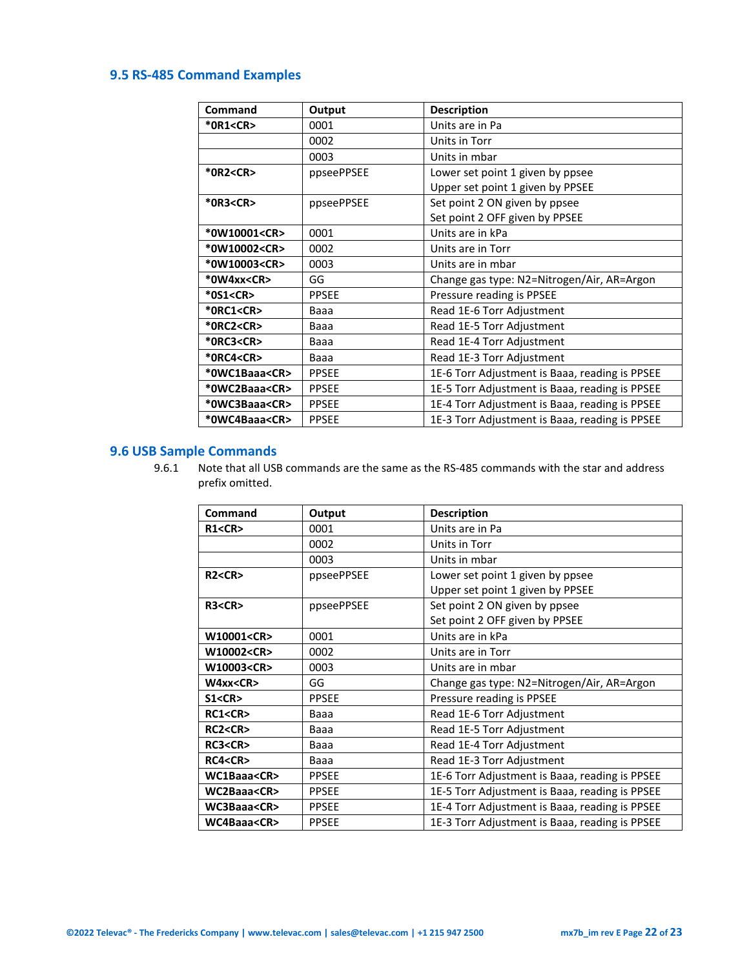## <span id="page-21-0"></span>**9.5 RS-485 Command Examples**

| Command             | Output       | <b>Description</b>                             |
|---------------------|--------------|------------------------------------------------|
| *0R1 <cr></cr>      | 0001         | Units are in Pa                                |
|                     | 0002         | Units in Torr                                  |
|                     | 0003         | Units in mbar                                  |
| *0R2 <cr></cr>      | ppseePPSEE   | Lower set point 1 given by ppsee               |
|                     |              | Upper set point 1 given by PPSEE               |
| *0R3 <cr></cr>      | ppseePPSEE   | Set point 2 ON given by ppsee                  |
|                     |              | Set point 2 OFF given by PPSEE                 |
| *0W10001 <cr></cr>  | 0001         | Units are in kPa                               |
| *0W10002 <cr></cr>  | 0002         | Units are in Torr                              |
| *0W10003 <cr></cr>  | 0003         | Units are in mbar                              |
| *0W4xx <cr></cr>    | GG           | Change gas type: N2=Nitrogen/Air, AR=Argon     |
| *0S1 <cr></cr>      | <b>PPSEE</b> | Pressure reading is PPSEE                      |
| *ORC1 <cr></cr>     | Baaa         | Read 1E-6 Torr Adjustment                      |
| *0RC2 <cr></cr>     | Baaa         | Read 1E-5 Torr Adjustment                      |
| *0RC3 <cr></cr>     | Baaa         | Read 1E-4 Torr Adjustment                      |
| *0RC4 <cr></cr>     | Baaa         | Read 1E-3 Torr Adjustment                      |
| *OWC1Baaa <cr></cr> | <b>PPSEE</b> | 1E-6 Torr Adjustment is Baaa, reading is PPSEE |
| *0WC2Baaa <cr></cr> | <b>PPSEE</b> | 1E-5 Torr Adjustment is Baaa, reading is PPSEE |
| *0WC3Baaa <cr></cr> | <b>PPSEE</b> | 1E-4 Torr Adjustment is Baaa, reading is PPSEE |
| *0WC4Baaa <cr></cr> | <b>PPSEE</b> | 1E-3 Torr Adjustment is Baaa, reading is PPSEE |

## <span id="page-21-1"></span>**9.6 USB Sample Commands**

9.6.1 Note that all USB commands are the same as the RS-485 commands with the star and address prefix omitted.

| Command           | Output       | <b>Description</b>                             |
|-------------------|--------------|------------------------------------------------|
| R1 < CR           | 0001         | Units are in Pa                                |
|                   | 0002         | Units in Torr                                  |
|                   | 0003         | Units in mbar                                  |
| R2 < CR           | ppseePPSEE   | Lower set point 1 given by ppsee               |
|                   |              | Upper set point 1 given by PPSEE               |
| R3 < CR           | ppseePPSEE   | Set point 2 ON given by ppsee                  |
|                   |              | Set point 2 OFF given by PPSEE                 |
| W10001 <cr></cr>  | 0001         | Units are in kPa                               |
| W10002 <cr></cr>  | 0002         | Units are in Torr                              |
| W10003 <cr></cr>  | 0003         | Units are in mbar                              |
| W4xx < CR         | GG           | Change gas type: N2=Nitrogen/Air, AR=Argon     |
| S1 < CR           | <b>PPSEE</b> | Pressure reading is PPSEE                      |
| RC1 < CR          | Baaa         | Read 1E-6 Torr Adjustment                      |
| RC2 <cr></cr>     | Baaa         | Read 1E-5 Torr Adjustment                      |
| RC3 <cr></cr>     | Baaa         | Read 1E-4 Torr Adjustment                      |
| RC4 < CR          | Baaa         | Read 1E-3 Torr Adjustment                      |
| WC1Baaa <cr></cr> | <b>PPSEE</b> | 1E-6 Torr Adjustment is Baaa, reading is PPSEE |
| WC2Baaa <cr></cr> | <b>PPSEE</b> | 1E-5 Torr Adjustment is Baaa, reading is PPSEE |
| WC3Baaa <cr></cr> | <b>PPSEE</b> | 1E-4 Torr Adjustment is Baaa, reading is PPSEE |
| WC4Baaa <cr></cr> | <b>PPSEE</b> | 1E-3 Torr Adjustment is Baaa, reading is PPSEE |